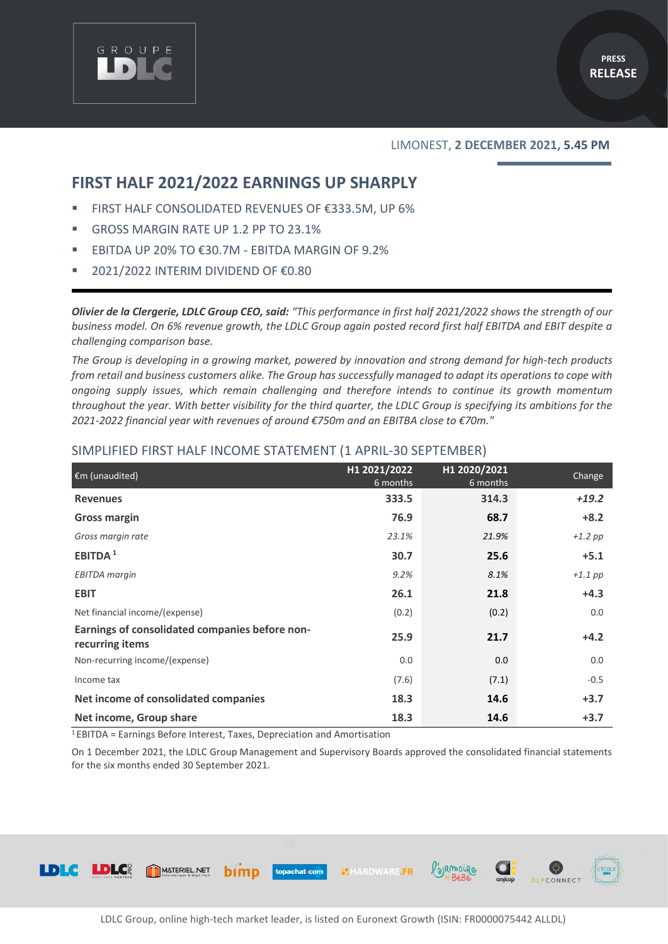

### LIMONEST, **2 DECEMBER 2021, 5.45 PM**

DLPCONNECT

/'ajrmoire

## **FIRST HALF 2021/2022 EARNINGS UP SHARPLY**

- FIRST HALF CONSOLIDATED REVENUES OF €333.5M, UP 6%
- GROSS MARGIN RATE UP 1.2 PP TO 23.1%
- EBITDA UP 20% TO  $€30.7M EBITDA MARGIN OF 9.2%$
- 2021/2022 INTERIM DIVIDEND OF €0.80

*Olivier de la Clergerie, LDLC Group CEO, said: "This performance in first half 2021/2022 shows the strength of our business model. On 6% revenue growth, the LDLC Group again posted record first half EBITDA and EBIT despite a challenging comparison base.* 

*The Group is developing in a growing market, powered by innovation and strong demand for high-tech products from retail and business customers alike. The Group has successfully managed to adapt its operations to cope with ongoing supply issues, which remain challenging and therefore intends to continue its growth momentum throughout the year. With better visibility for the third quarter, the LDLC Group is specifying its ambitions for the 2021-2022 financial year with revenues of around €750m and an EBITBA close to €70m."*

| €m (unaudited)                                                    | H1 2021/2022<br>6 months | H1 2020/2021<br>6 months | Change    |
|-------------------------------------------------------------------|--------------------------|--------------------------|-----------|
| <b>Revenues</b>                                                   | 333.5                    | 314.3                    | $+19.2$   |
| <b>Gross margin</b>                                               | 76.9                     | 68.7                     | $+8.2$    |
| Gross margin rate                                                 | 23.1%                    | 21.9%                    | $+1.2$ pp |
| EBITDA <sup>1</sup>                                               | 30.7                     | 25.6                     | $+5.1$    |
| <b>EBITDA</b> margin                                              | 9.2%                     | 8.1%                     | $+1.1$ pp |
| <b>EBIT</b>                                                       | 26.1                     | 21.8                     | $+4.3$    |
| Net financial income/(expense)                                    | (0.2)                    | (0.2)                    | 0.0       |
| Earnings of consolidated companies before non-<br>recurring items | 25.9                     | 21.7                     | $+4.2$    |
| Non-recurring income/(expense)                                    | 0.0                      | 0.0                      | 0.0       |
| Income tax                                                        | (7.6)                    | (7.1)                    | $-0.5$    |
| Net income of consolidated companies                              | 18.3                     | 14.6                     | $+3.7$    |
| Net income, Group share                                           | 18.3                     | 14.6                     | $+3.7$    |

## SIMPLIFIED FIRST HALF INCOME STATEMENT (1 APRIL-30 SEPTEMBER)

<sup>1</sup>EBITDA = Earnings Before Interest, Taxes, Depreciation and Amortisation

bimp

MATERIEL.NET

On 1 December 2021, the LDLC Group Management and Supervisory Boards approved the consolidated financial statements for the six months ended 30 September 2021.



**XHARDWARE.FR** 

topachat.com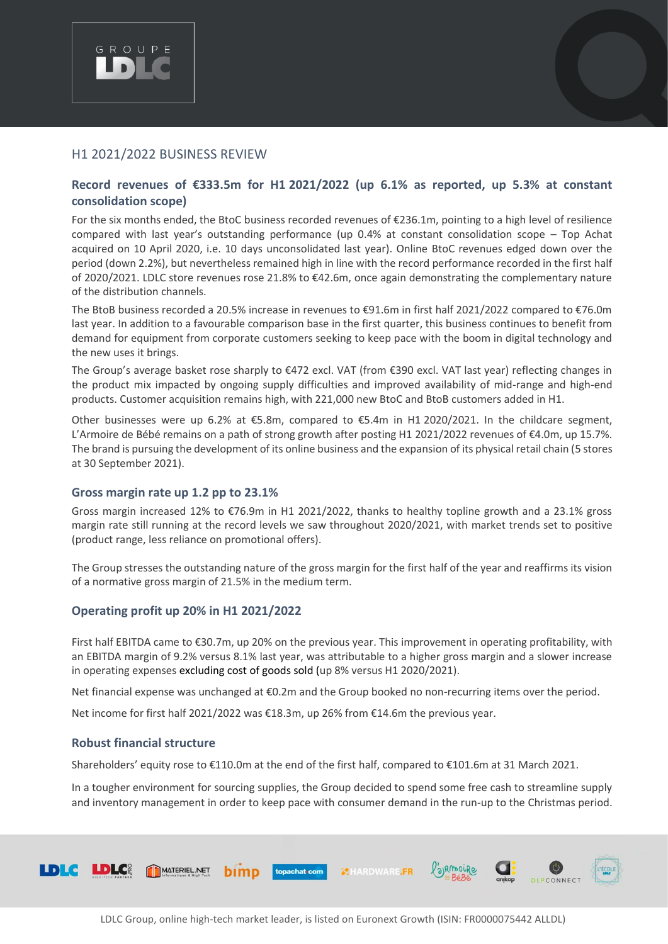

## H1 2021/2022 BUSINESS REVIEW

## **Record revenues of €333.5m for H1 2021/2022 (up 6.1% as reported, up 5.3% at constant consolidation scope)**

For the six months ended, the BtoC business recorded revenues of €236.1m, pointing to a high level of resilience compared with last year's outstanding performance (up 0.4% at constant consolidation scope – Top Achat acquired on 10 April 2020, i.e. 10 days unconsolidated last year). Online BtoC revenues edged down over the period (down 2.2%), but nevertheless remained high in line with the record performance recorded in the first half of 2020/2021. LDLC store revenues rose 21.8% to €42.6m, once again demonstrating the complementary nature of the distribution channels.

The BtoB business recorded a 20.5% increase in revenues to €91.6m in first half 2021/2022 compared to €76.0m last year. In addition to a favourable comparison base in the first quarter, this business continues to benefit from demand for equipment from corporate customers seeking to keep pace with the boom in digital technology and the new uses it brings.

The Group's average basket rose sharply to €472 excl. VAT (from €390 excl. VAT last year) reflecting changes in the product mix impacted by ongoing supply difficulties and improved availability of mid-range and high-end products. Customer acquisition remains high, with 221,000 new BtoC and BtoB customers added in H1.

Other businesses were up 6.2% at €5.8m, compared to €5.4m in H1 2020/2021. In the childcare segment, L'Armoire de Bébé remains on a path of strong growth after posting H1 2021/2022 revenues of €4.0m, up 15.7%. The brand is pursuing the development of its online business and the expansion of its physical retail chain (5 stores at 30 September 2021).

## **Gross margin rate up 1.2 pp to 23.1%**

Gross margin increased 12% to €76.9m in H1 2021/2022, thanks to healthy topline growth and a 23.1% gross margin rate still running at the record levels we saw throughout 2020/2021, with market trends set to positive (product range, less reliance on promotional offers).

The Group stresses the outstanding nature of the gross margin for the first half of the year and reaffirms its vision of a normative gross margin of 21.5% in the medium term.

## **Operating profit up 20% in H1 2021/2022**

First half EBITDA came to €30.7m, up 20% on the previous year. This improvement in operating profitability, with an EBITDA margin of 9.2% versus 8.1% last year, was attributable to a higher gross margin and a slower increase in operating expenses excluding cost of goods sold (up 8% versus H1 2020/2021).

Net financial expense was unchanged at €0.2m and the Group booked no non-recurring items over the period.

Net income for first half 2021/2022 was €18.3m, up 26% from €14.6m the previous year.

## **Robust financial structure**

Shareholders' equity rose to €110.0m at the end of the first half, compared to €101.6m at 31 March 2021.

In a tougher environment for sourcing supplies, the Group decided to spend some free cash to streamline supply and inventory management in order to keep pace with consumer demand in the run-up to the Christmas period.

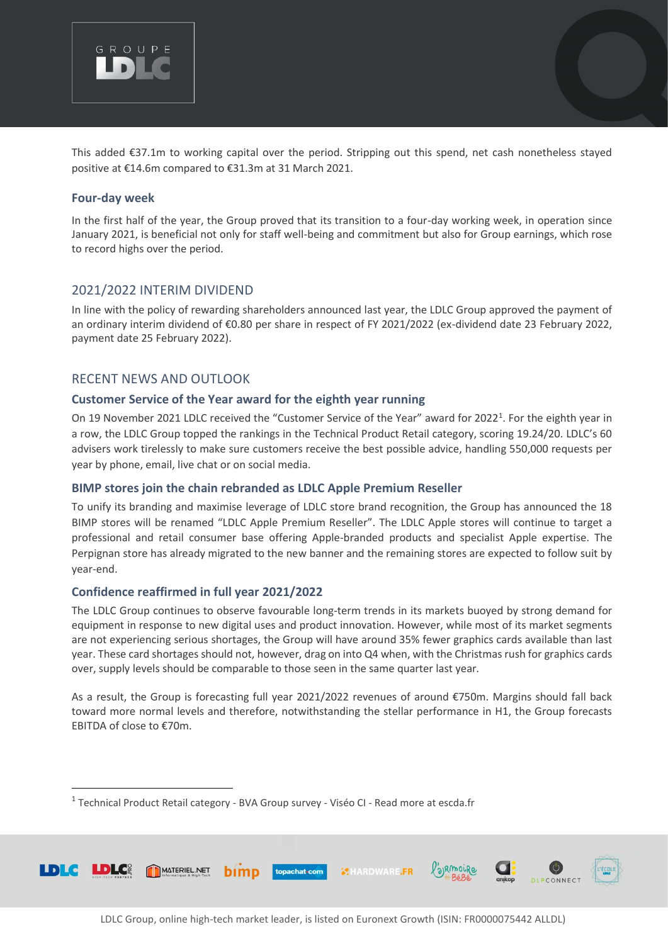

This added €37.1m to working capital over the period. Stripping out this spend, net cash nonetheless stayed positive at €14.6m compared to €31.3m at 31 March 2021.

### **Four-day week**

In the first half of the year, the Group proved that its transition to a four-day working week, in operation since January 2021, is beneficial not only for staff well-being and commitment but also for Group earnings, which rose to record highs over the period.

## 2021/2022 INTERIM DIVIDEND

In line with the policy of rewarding shareholders announced last year, the LDLC Group approved the payment of an ordinary interim dividend of €0.80 per share in respect of FY 2021/2022 (ex-dividend date 23 February 2022, payment date 25 February 2022).

## RECENT NEWS AND OUTLOOK

#### **Customer Service of the Year award for the eighth year running**

On 19 November 2021 LDLC received the "Customer Service of the Year" award for 2022<sup>1</sup>. For the eighth year in a row, the LDLC Group topped the rankings in the Technical Product Retail category, scoring 19.24/20. LDLC's 60 advisers work tirelessly to make sure customers receive the best possible advice, handling 550,000 requests per year by phone, email, live chat or on social media.

## **BIMP stores join the chain rebranded as LDLC Apple Premium Reseller**

To unify its branding and maximise leverage of LDLC store brand recognition, the Group has announced the 18 BIMP stores will be renamed "LDLC Apple Premium Reseller". The LDLC Apple stores will continue to target a professional and retail consumer base offering Apple-branded products and specialist Apple expertise. The Perpignan store has already migrated to the new banner and the remaining stores are expected to follow suit by year-end.

## **Confidence reaffirmed in full year 2021/2022**

The LDLC Group continues to observe favourable long-term trends in its markets buoyed by strong demand for equipment in response to new digital uses and product innovation. However, while most of its market segments are not experiencing serious shortages, the Group will have around 35% fewer graphics cards available than last year. These card shortages should not, however, drag on into Q4 when, with the Christmas rush for graphics cards over, supply levels should be comparable to those seen in the same quarter last year.

As a result, the Group is forecasting full year 2021/2022 revenues of around €750m. Margins should fall back toward more normal levels and therefore, notwithstanding the stellar performance in H1, the Group forecasts EBITDA of close to €70m.

<sup>&</sup>lt;sup>1</sup> Technical Product Retail category - BVA Group survey - Viséo CI - Read more at escda.fr